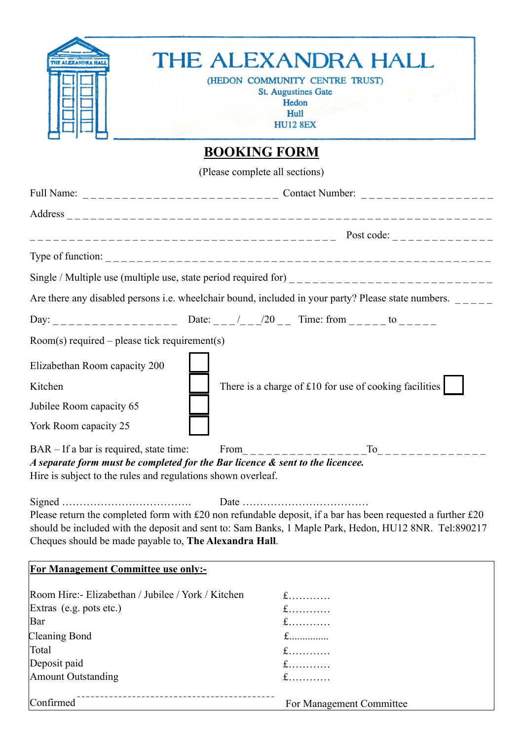| <b>THE ALEXANDRA HA</b>                                                                                                                                                                                                                                                                | THE ALEXANDRA HALL<br>(HEDON COMMUNITY CENTRE TRUST)<br><b>St. Augustines Gate</b><br>Hedon<br>Hull<br><b>HU12 8EX</b> |  |
|----------------------------------------------------------------------------------------------------------------------------------------------------------------------------------------------------------------------------------------------------------------------------------------|------------------------------------------------------------------------------------------------------------------------|--|
|                                                                                                                                                                                                                                                                                        | <b>BOOKING FORM</b>                                                                                                    |  |
|                                                                                                                                                                                                                                                                                        | (Please complete all sections)                                                                                         |  |
|                                                                                                                                                                                                                                                                                        | Full Name: _______________________________ Contact Number: ____________________                                        |  |
|                                                                                                                                                                                                                                                                                        |                                                                                                                        |  |
|                                                                                                                                                                                                                                                                                        |                                                                                                                        |  |
|                                                                                                                                                                                                                                                                                        |                                                                                                                        |  |
|                                                                                                                                                                                                                                                                                        |                                                                                                                        |  |
|                                                                                                                                                                                                                                                                                        |                                                                                                                        |  |
|                                                                                                                                                                                                                                                                                        | Are there any disabled persons i.e. wheelchair bound, included in your party? Please state numbers. $\frac{1}{1}$      |  |
|                                                                                                                                                                                                                                                                                        | Day: ________________ Date: ___/___/20 __ Time: from _____ to _____                                                    |  |
| $Room(s)$ required – please tick requirement(s)                                                                                                                                                                                                                                        |                                                                                                                        |  |
| Elizabethan Room capacity 200                                                                                                                                                                                                                                                          |                                                                                                                        |  |
| Kitchen                                                                                                                                                                                                                                                                                | There is a charge of £10 for use of cooking facilities                                                                 |  |
| Jubilee Room capacity 65                                                                                                                                                                                                                                                               |                                                                                                                        |  |
| York Room capacity 25                                                                                                                                                                                                                                                                  |                                                                                                                        |  |
| BAR – If a bar is required, state time:                                                                                                                                                                                                                                                | $To$ _________                                                                                                         |  |
| A separate form must be completed for the Bar licence & sent to the licencee.<br>Hire is subject to the rules and regulations shown overleaf.                                                                                                                                          |                                                                                                                        |  |
| Date<br>Please return the completed form with £20 non refundable deposit, if a bar has been requested a further £20<br>should be included with the deposit and sent to: Sam Banks, 1 Maple Park, Hedon, HU12 8NR. Tel:890217<br>Cheques should be made payable to, The Alexandra Hall. |                                                                                                                        |  |
| For Management Committee use only:-                                                                                                                                                                                                                                                    |                                                                                                                        |  |
| Room Hire:- Elizabethan / Jubilee / York / Kitchen<br>Extras (e.g. pots etc.)<br>Bar                                                                                                                                                                                                   | $f$<br>$f$<br>$f$                                                                                                      |  |
| Cleaning Bond                                                                                                                                                                                                                                                                          | $f$                                                                                                                    |  |
| Total                                                                                                                                                                                                                                                                                  | $f$                                                                                                                    |  |
| Deposit paid                                                                                                                                                                                                                                                                           | $f$                                                                                                                    |  |
| <b>Amount Outstanding</b>                                                                                                                                                                                                                                                              | $f$                                                                                                                    |  |
| Confirmed                                                                                                                                                                                                                                                                              | For Management Committee                                                                                               |  |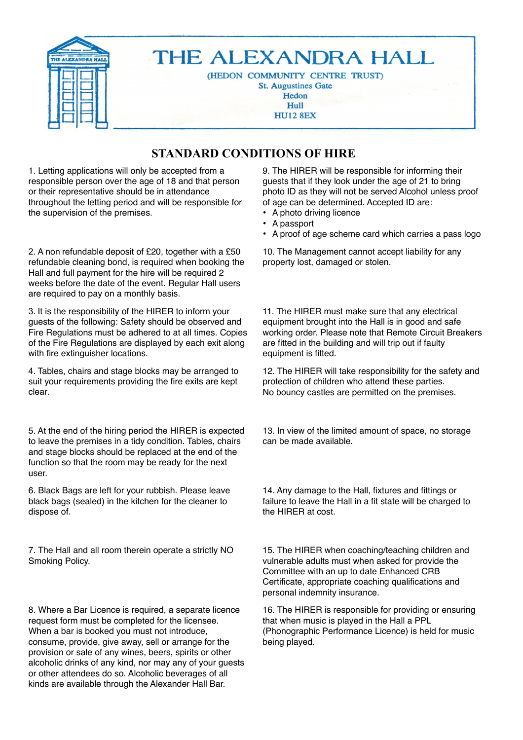

## **STANDARD CONDITIONS OF HIRE**

1. Letting applications will only be accepted from a responsible person over the age of 18 and that person or their representative should be in attendance throughout the letting period and will be responsible for the supervision of the premises.

2. A non refundable deposit of £20, together with a £50 refundable cleaning bond, is required when booking the Hall and full payment for the hire will be required 2 weeks before the date of the event. Regular Hall users are required to pay on a monthly basis.

3. It is the responsibility of the HIRER to inform your guests of the following: Safety should be observed and Fire Regulations must be adhered to at all times. Copies of the Fire Regulations are displayed by each exit along with fire extinguisher locations.

4. Tables, chairs and stage blocks may be arranged to suit your requirements providing the fire exits are kept clear.

5. At the end of the hiring period the HIRER is expected to leave the premises in a tidy condition. Tables, chairs and stage blocks should be replaced at the end of the function so that the room may be ready for the next user.

6. Black Bags are left for your rubbish. Please leave black bags (sealed) in the kitchen for the cleaner to dispose of.

7. The Hall and all room therein operate a strictly NO Smoking Policy.

8. Where a Bar Licence is required, a separate licence request form must be completed for the licensee. When a bar is booked you must not introduce, consume, provide, give away, sell or arrange for the provision or sale of any wines, beers, spirits or other alcoholic drinks of any kind, nor may any of your guests or other attendees do so. Alcoholic beverages of all kinds are available through the Alexander Hall Bar.

9. The HIRER will be responsible for informing their guests that if they look under the age of 21 to bring photo ID as they will not be served Alcohol unless proof of age can be determined. Accepted ID are:

- A photo driving licence
- A passport
- A proof of age scheme card which carries a pass logo

10. The Management cannot accept liability for any property lost, damaged or stolen.

11. The HIRER must make sure that any electrical equipment brought into the Hall is in good and safe working order. Please note that Remote Circuit Breakers are fitted in the building and will trip out if faulty equipment is fitted.

12. The HIRER will take responsibility for the safety and protection of children who attend these parties. No bouncy castles are permitted on the premises.

13. In view of the limited amount of space, no storage can be made available.

14. Any damage to the Hall, fixtures and fittings or failure to leave the Hall in a fit state will be charged to the HIRER at cost.

15. The HIRER when coaching/teaching children and vulnerable adults must when asked for provide the Committee with an up to date Enhanced CRB Certificate, appropriate coaching qualifications and personal indemnity insurance.

16. The HIRER is responsible for providing or ensuring that when music is played in the Hall a PPL (Phonographic Performance Licence) is held for music being played.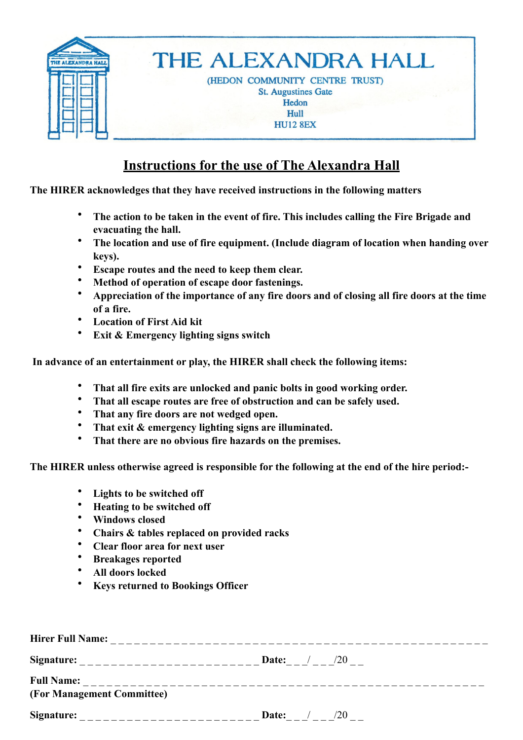

## **Instructions for the use of The Alexandra Hall**

**The HIRER acknowledges that they have received instructions in the following matters**

- **The action to be taken in the event of fire. This includes calling the Fire Brigade and evacuating the hall.**
- **The location and use of fire equipment. (Include diagram of location when handing over keys).**
- **Escape routes and the need to keep them clear.**
- **Method of operation of escape door fastenings.**
- **Appreciation of the importance of any fire doors and of closing all fire doors at the time of a fire.**
- **Location of First Aid kit**
- **Exit & Emergency lighting signs switch**

 **In advance of an entertainment or play, the HIRER shall check the following items:** 

- **That all fire exits are unlocked and panic bolts in good working order.**
- **That all escape routes are free of obstruction and can be safely used.**
- **That any fire doors are not wedged open.**
- **That exit & emergency lighting signs are illuminated.**
- **That there are no obvious fire hazards on the premises.**

**The HIRER unless otherwise agreed is responsible for the following at the end of the hire period:-** 

- Lights to be switched off
- **Heating to be switched off**
- **Windows closed**
- **Chairs & tables replaced on provided racks**
- **Clear floor area for next user**
- **Breakages reported**
- **All doors locked**
- **Keys returned to Bookings Officer**

| <b>Hirer Full Name:</b>            |                                       |  |
|------------------------------------|---------------------------------------|--|
| Signature:                         | $\frac{1}{20}$<br>Date:               |  |
| <b>Full Name:</b>                  | _____________________________________ |  |
| (For Management Committee)         |                                       |  |
| Signature:<br>____________________ | /20<br>Date:                          |  |